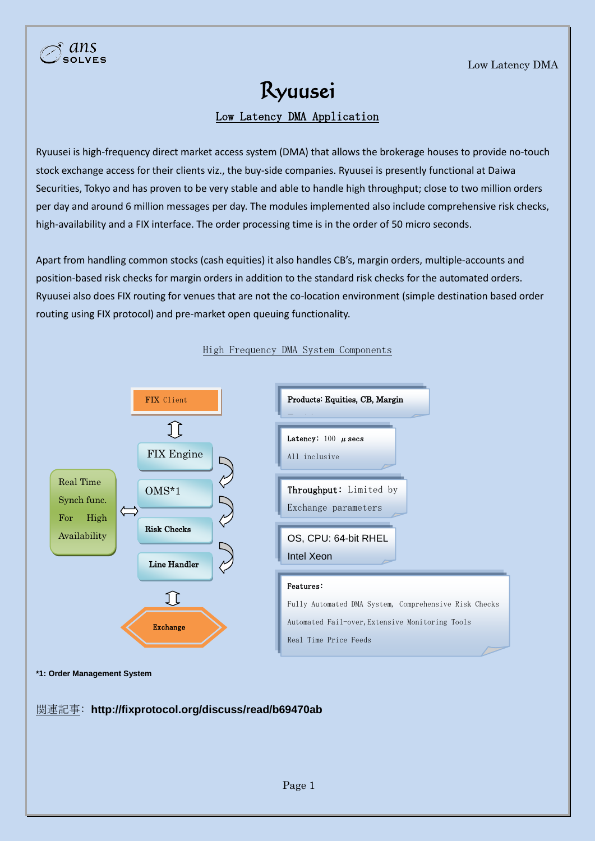## Ryuusei

Low Latency DMA Application

Ryuusei is high-frequency direct market access system (DMA) that allows the brokerage houses to provide no-touch stock exchange access for their clients viz., the buy-side companies. Ryuusei is presently functional at Daiwa Securities, Tokyo and has proven to be very stable and able to handle high throughput; close to two million orders per day and around 6 million messages per day. The modules implemented also include comprehensive risk checks, high-availability and a FIX interface. The order processing time is in the order of 50 micro seconds.

Apart from handling common stocks (cash equities) it also handles CB's, margin orders, multiple-accounts and position-based risk checks for margin orders in addition to the standard risk checks for the automated orders. Ryuusei also does FIX routing for venues that are not the co-location environment (simple destination based order routing using FIX protocol) and pre-market open queuing functionality.



## High Frequency DMA System Components



社(通常"セ